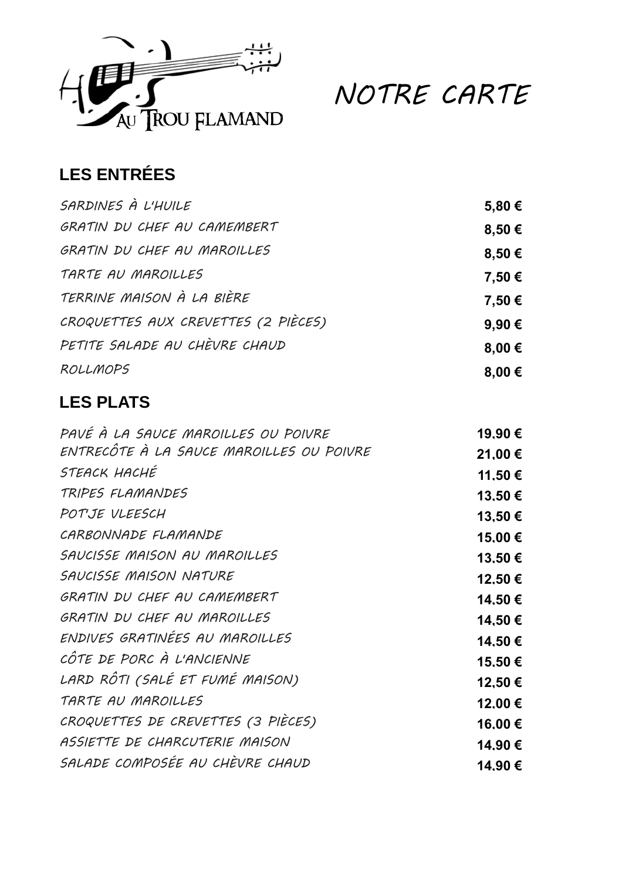

NOTRE CARTE

## **LES ENTRÉES**

| SARDINES À L'HUILE                  | 5,80€           |
|-------------------------------------|-----------------|
| GRATIN DU CHEF AU CAMEMBERT         | 8,50€           |
| GRATIN DU CHEF AU MAROILLES         | 8,50€           |
| TARTE AU MAROILLES                  | 7,50 €          |
| TERRINE MAISON À LA BIÈRE           | 7,50 €          |
| CROQUETTES AUX CREVETTES (2 PIÈCES) | 9.90€           |
| PETITE SALADE AU CHÈVRE CHAUD       | 8,00 $\epsilon$ |
| ROLLMOPS                            | 8,00 $\epsilon$ |

## **LES PLATS**

| PAVÉ À LA SAUCE MAROILLES OU POIVRE      | 19.90 € |
|------------------------------------------|---------|
| ENTRECÔTE À LA SAUCE MAROILLES OU POIVRE | 21.00 € |
| STEACK HACHÉ                             | 11.50 € |
| TRIPES FLAMANDES                         | 13,50 € |
| POTJE VLEESCH                            | 13.50€  |
| CARBONNADE FLAMANDE                      | 15,00 € |
| SAUCISSE MAISON AU MAROILLES             | 13,50€  |
| SAUCISSE MAISON NATURE                   | 12.50 € |
| GRATIN DU CHEF AU CAMEMBERT              | 14.50 € |
| GRATIN DU CHEF AU MAROILLES              | 14,50 € |
| ENDIVES GRATINÉES AU MAROILLES           | 14.50 € |
| CÔTE DE PORC À L'ANCIENNE                | 15.50€  |
| LARD RÔTI (SALÉ ET FUMÉ MAISON)          | 12.50 € |
| TARTE AU MAROILLES                       | 12,00 € |
| CROQUETTES DE CREVETTES (3 PIÈCES)       | 16,00 € |
| ASSIETTE DE CHARCUTERIE MAISON           | 14.90 € |
| SALADE COMPOSÉE AU CHÈVRE CHAUD          | 14.90 € |
|                                          |         |